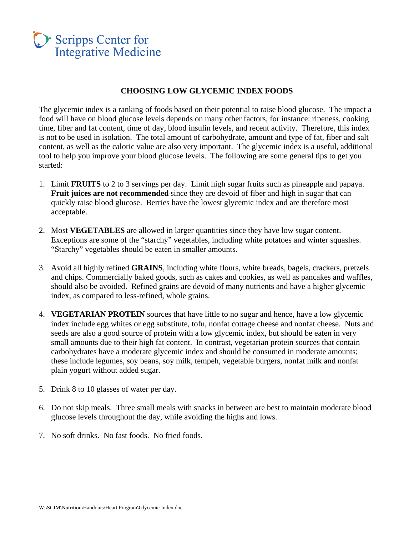# Scripps Center for **Integrative Medicine**

### **CHOOSING LOW GLYCEMIC INDEX FOODS**

The glycemic index is a ranking of foods based on their potential to raise blood glucose. The impact a food will have on blood glucose levels depends on many other factors, for instance: ripeness, cooking time, fiber and fat content, time of day, blood insulin levels, and recent activity. Therefore, this index is not to be used in isolation. The total amount of carbohydrate, amount and type of fat, fiber and salt content, as well as the caloric value are also very important. The glycemic index is a useful, additional tool to help you improve your blood glucose levels. The following are some general tips to get you started:

- 1. Limit **FRUITS** to 2 to 3 servings per day. Limit high sugar fruits such as pineapple and papaya. **Fruit juices are not recommended** since they are devoid of fiber and high in sugar that can quickly raise blood glucose. Berries have the lowest glycemic index and are therefore most acceptable.
- 2. Most **VEGETABLES** are allowed in larger quantities since they have low sugar content. Exceptions are some of the "starchy" vegetables, including white potatoes and winter squashes. "Starchy" vegetables should be eaten in smaller amounts.
- 3. Avoid all highly refined **GRAINS**, including white flours, white breads, bagels, crackers, pretzels and chips. Commercially baked goods, such as cakes and cookies, as well as pancakes and waffles, should also be avoided. Refined grains are devoid of many nutrients and have a higher glycemic index, as compared to less-refined, whole grains.
- 4. **VEGETARIAN PROTEIN** sources that have little to no sugar and hence, have a low glycemic index include egg whites or egg substitute, tofu, nonfat cottage cheese and nonfat cheese. Nuts and seeds are also a good source of protein with a low glycemic index, but should be eaten in very small amounts due to their high fat content. In contrast, vegetarian protein sources that contain carbohydrates have a moderate glycemic index and should be consumed in moderate amounts; these include legumes, soy beans, soy milk, tempeh, vegetable burgers, nonfat milk and nonfat plain yogurt without added sugar.
- 5. Drink 8 to 10 glasses of water per day.
- 6. Do not skip meals. Three small meals with snacks in between are best to maintain moderate blood glucose levels throughout the day, while avoiding the highs and lows.
- 7. No soft drinks. No fast foods. No fried foods.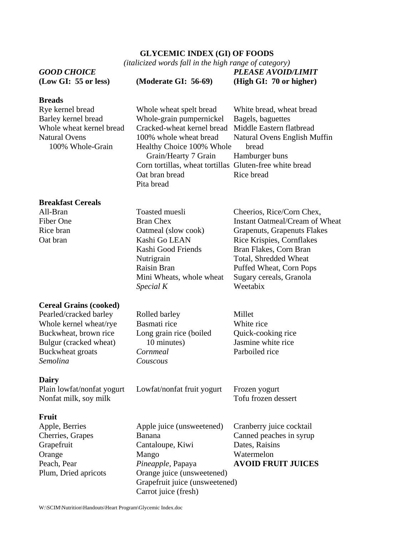## **GLYCEMIC INDEX (GI) OF FOODS**

*(italicized words fall in the high range of category)* 

|                                          | (italicized words fall in the high range of category)                                |                                                         |  |
|------------------------------------------|--------------------------------------------------------------------------------------|---------------------------------------------------------|--|
| <b>GOOD CHOICE</b>                       |                                                                                      | PLEASE AVOID/LIMIT                                      |  |
| (Low GI: 55 or less)                     | (Moderate GI: 56-69)                                                                 | (High GI: 70 or higher)                                 |  |
| <b>Breads</b>                            |                                                                                      |                                                         |  |
| Rye kernel bread                         | Whole wheat spelt bread                                                              | White bread, wheat bread                                |  |
| Barley kernel bread                      | Whole-grain pumpernickel                                                             | Bagels, baguettes                                       |  |
| Whole wheat kernel bread                 | Cracked-wheat kernel bread                                                           | Middle Eastern flatbread                                |  |
| <b>Natural Ovens</b><br>100% Whole-Grain | 100% whole wheat bread<br>Healthy Choice 100% Whole<br>Grain/Hearty 7 Grain          | Natural Ovens English Muffin<br>bread<br>Hamburger buns |  |
|                                          | Corn tortillas, wheat tortillas Gluten-free white bread                              |                                                         |  |
|                                          | Oat bran bread<br>Pita bread                                                         | Rice bread                                              |  |
| <b>Breakfast Cereals</b>                 |                                                                                      |                                                         |  |
| All-Bran                                 | Toasted muesli                                                                       | Cheerios, Rice/Corn Chex,                               |  |
| Fiber One                                | <b>Bran Chex</b>                                                                     | Instant Oatmeal/Cream of Wheat                          |  |
| Rice bran                                | Oatmeal (slow cook)                                                                  | Grapenuts, Grapenuts Flakes                             |  |
| Oat bran                                 | Kashi Go LEAN                                                                        | Rice Krispies, Cornflakes                               |  |
|                                          | Kashi Good Friends                                                                   | Bran Flakes, Corn Bran                                  |  |
|                                          | Nutrigrain                                                                           | Total, Shredded Wheat                                   |  |
|                                          | Raisin Bran                                                                          | Puffed Wheat, Corn Pops                                 |  |
|                                          | Mini Wheats, whole wheat<br>Special K                                                | Sugary cereals, Granola<br>Weetabix                     |  |
| <b>Cereal Grains (cooked)</b>            |                                                                                      |                                                         |  |
| Pearled/cracked barley                   | Rolled barley                                                                        | Millet                                                  |  |
| Whole kernel wheat/rye                   | Basmati rice                                                                         | White rice                                              |  |
| Buckwheat, brown rice                    | Long grain rice (boiled                                                              | Quick-cooking rice                                      |  |
| Bulgur (cracked wheat)                   | 10 minutes)                                                                          | Jasmine white rice                                      |  |
| Buckwheat groats                         | Cornmeal                                                                             | Parboiled rice                                          |  |
| Semolina                                 | Couscous                                                                             |                                                         |  |
| <b>Dairy</b>                             |                                                                                      |                                                         |  |
| Plain lowfat/nonfat yogurt               | Lowfat/nonfat fruit yogurt                                                           | Frozen yogurt                                           |  |
| Nonfat milk, soy milk                    |                                                                                      | Tofu frozen dessert                                     |  |
| Fruit                                    |                                                                                      |                                                         |  |
| Apple, Berries                           | Apple juice (unsweetened)                                                            | Cranberry juice cocktail                                |  |
| Cherries, Grapes                         | Banana                                                                               | Canned peaches in syrup                                 |  |
| Grapefruit                               | Cantaloupe, Kiwi                                                                     | Dates, Raisins                                          |  |
| Orange                                   | Mango                                                                                | Watermelon                                              |  |
| Peach, Pear                              | Pineapple, Papaya                                                                    | <b>AVOID FRUIT JUICES</b>                               |  |
| Plum, Dried apricots                     | Orange juice (unsweetened)<br>Grapefruit juice (unsweetened)<br>Carrot juice (fresh) |                                                         |  |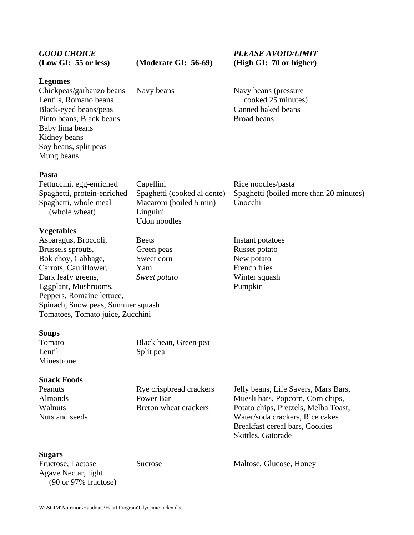| <b>GOOD CHOICE</b>   |  |  |  |  |  |
|----------------------|--|--|--|--|--|
| (Low GI: 55 or less) |  |  |  |  |  |

*GOOD CHOICE PLEASE AVOID/LIMIT*  (Moderate GI: 56-69) (High GI: 70 or higher)

> cooked 25 minutes) Canned baked beans

#### **Legumes**

| Chickpeas/garbanzo beans | Navy beans | Navy beans (pressure) |
|--------------------------|------------|-----------------------|
| Lentils, Romano beans    |            | cooked 25 minutes     |
| Black-eyed beans/peas    |            | Canned baked beans    |
| Pinto beans, Black beans |            | Broad beans           |
| Baby lima beans          |            |                       |
| Kidney beans             |            |                       |
| Soy beans, split peas    |            |                       |
| Mung beans               |            |                       |
|                          |            |                       |

#### **Pasta**

Fettuccini, egg-enriched Capellini Rice noodles/pasta Spaghetti, protein-enriched Spaghetti (cooked al dente) Spaghetti (boiled more than 20 minutes) Spaghetti, whole meal Macaroni (boiled 5 min) Gnocchi (whole wheat) Linguini Udon noodles

#### **Vegetables**

Asparagus, Broccoli, Beets Instant potatoes Brussels sprouts, Green peas Russet potato Bok choy, Cabbage, Sweet corn New potato Carrots, Cauliflower, Yam French fries Dark leafy greens, *Sweet potato* Winter squash Eggplant, Mushrooms, Pumpkin Peppers, Romaine lettuce, Spinach, Snow peas, Summer squash Tomatoes, Tomato juice, Zucchini

#### **Soups**

Tomato Black bean, Green pea Lentil Split pea Minestrone

**Snack Foods** 

Peanuts Rye crispbread crackers Jelly beans, Life Savers, Mars Bars, Almonds Power Bar Muesli bars, Popcorn, Corn chips, Walnuts Breton wheat crackers Potato chips, Pretzels, Melba Toast, Nuts and seeds Water/soda crackers, Rice cakes Breakfast cereal bars, Cookies Skittles, Gatorade

#### **Sugars**

Agave Nectar, light (90 or 97% fructose)

Fructose, Lactose Sucrose Maltose, Glucose, Honey

W:\SCIM\Nutrition\Handouts\Heart Program\Glycemic Index.doc